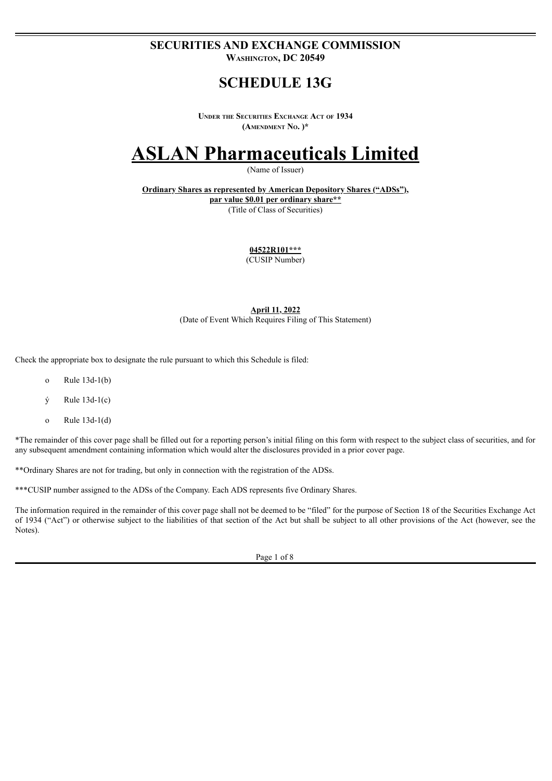### **SECURITIES AND EXCHANGE COMMISSION Washington, DC 20549**

## **SCHEDULE 13G**

**Under the Securities Exchange Act of 1934 (Amendment No. )\***

# **ASLAN Pharmaceuticals Limited**

(Name of Issuer)

**Ordinary Shares as represented by American Depository Shares ("ADSs"), par value \$0.01 per ordinary share\*\*** (Title of Class of Securities)

**04522R101\*\*\***

(CUSIP Number)

**April 11, 2022** (Date of Event Which Requires Filing of This Statement)

Check the appropriate box to designate the rule pursuant to which this Schedule is filed:

- o Rule 13d-1(b)
- $\dot{y}$  Rule 13d-1(c)
- o Rule 13d-1(d)

\*The remainder of this cover page shall be filled out for a reporting person's initial filing on this form with respect to the subject class of securities, and for any subsequent amendment containing information which would alter the disclosures provided in a prior cover page.

\*\*Ordinary Shares are not for trading, but only in connection with the registration of the ADSs.

\*\*\*CUSIP number assigned to the ADSs of the Company. Each ADS represents five Ordinary Shares.

The information required in the remainder of this cover page shall not be deemed to be "filed" for the purpose of Section 18 of the Securities Exchange Act of 1934 ("Act") or otherwise subject to the liabilities of that section of the Act but shall be subject to all other provisions of the Act (however, see the Notes).

Page 1 of 8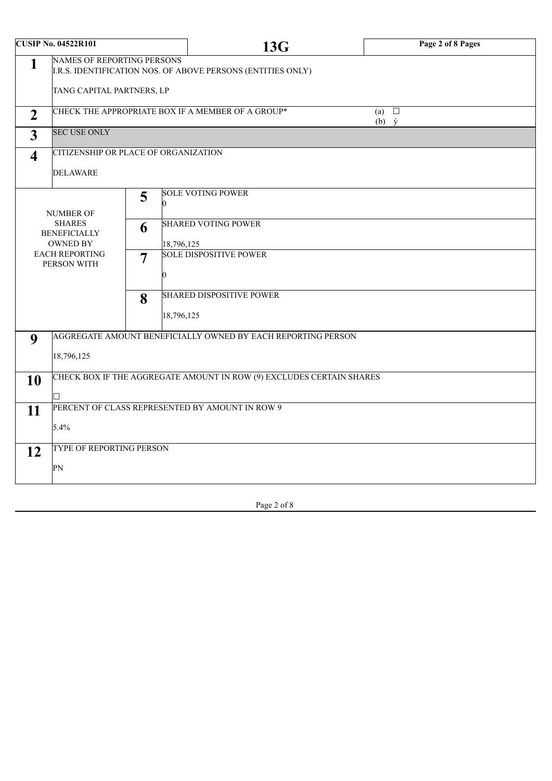| <b>CUSIP No. 04522R101</b>                                                                            |                                                                      |                                      | <b>13G</b>                                                   | Page 2 of 8 Pages                |  |  |
|-------------------------------------------------------------------------------------------------------|----------------------------------------------------------------------|--------------------------------------|--------------------------------------------------------------|----------------------------------|--|--|
| <b>NAMES OF REPORTING PERSONS</b><br>1<br>I.R.S. IDENTIFICATION NOS. OF ABOVE PERSONS (ENTITIES ONLY) |                                                                      |                                      |                                                              |                                  |  |  |
|                                                                                                       | TANG CAPITAL PARTNERS, LP                                            |                                      |                                                              |                                  |  |  |
| $\overline{2}$                                                                                        |                                                                      |                                      | CHECK THE APPROPRIATE BOX IF A MEMBER OF A GROUP*            | $\Box$<br>(a)<br>$(b)$ $\dot{y}$ |  |  |
| $\overline{3}$                                                                                        | <b>SEC USE ONLY</b>                                                  |                                      |                                                              |                                  |  |  |
| $\overline{\mathbf{4}}$                                                                               |                                                                      | CITIZENSHIP OR PLACE OF ORGANIZATION |                                                              |                                  |  |  |
|                                                                                                       | <b>DELAWARE</b>                                                      |                                      |                                                              |                                  |  |  |
|                                                                                                       | 5<br>0                                                               |                                      | <b>SOLE VOTING POWER</b>                                     |                                  |  |  |
| <b>NUMBER OF</b><br><b>SHARES</b><br>6<br><b>BENEFICIALLY</b><br><b>OWNED BY</b>                      |                                                                      |                                      | <b>SHARED VOTING POWER</b><br>18,796,125                     |                                  |  |  |
|                                                                                                       | <b>EACH REPORTING</b><br>$\overline{7}$<br>PERSON WITH<br>8          |                                      | <b>SOLE DISPOSITIVE POWER</b>                                |                                  |  |  |
|                                                                                                       |                                                                      |                                      | <b>SHARED DISPOSITIVE POWER</b>                              |                                  |  |  |
|                                                                                                       |                                                                      |                                      | 18,796,125                                                   |                                  |  |  |
| 9                                                                                                     |                                                                      |                                      | AGGREGATE AMOUNT BENEFICIALLY OWNED BY EACH REPORTING PERSON |                                  |  |  |
| 18,796,125                                                                                            |                                                                      |                                      |                                                              |                                  |  |  |
| 10                                                                                                    | CHECK BOX IF THE AGGREGATE AMOUNT IN ROW (9) EXCLUDES CERTAIN SHARES |                                      |                                                              |                                  |  |  |
|                                                                                                       |                                                                      |                                      |                                                              |                                  |  |  |
| PERCENT OF CLASS REPRESENTED BY AMOUNT IN ROW 9<br>11                                                 |                                                                      |                                      |                                                              |                                  |  |  |
| 5.4%                                                                                                  |                                                                      |                                      |                                                              |                                  |  |  |
| TYPE OF REPORTING PERSON<br>12<br>PN                                                                  |                                                                      |                                      |                                                              |                                  |  |  |
|                                                                                                       |                                                                      |                                      |                                                              |                                  |  |  |

Page 2 of 8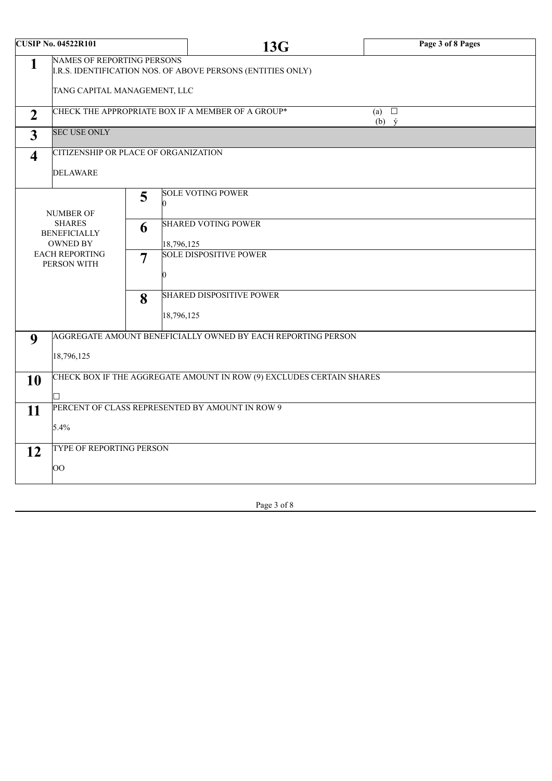| <b>CUSIP No. 04522R101</b>     |                                                                                                                                                                    |   | <b>13G</b>                                        | Page 3 of 8 Pages             |  |  |
|--------------------------------|--------------------------------------------------------------------------------------------------------------------------------------------------------------------|---|---------------------------------------------------|-------------------------------|--|--|
| 1                              | <b>NAMES OF REPORTING PERSONS</b><br>I.R.S. IDENTIFICATION NOS. OF ABOVE PERSONS (ENTITIES ONLY)                                                                   |   |                                                   |                               |  |  |
|                                | TANG CAPITAL MANAGEMENT, LLC                                                                                                                                       |   |                                                   |                               |  |  |
| $\overline{2}$                 |                                                                                                                                                                    |   | CHECK THE APPROPRIATE BOX IF A MEMBER OF A GROUP* | (a) $\Box$<br>$(b)$ $\dot{y}$ |  |  |
| $\overline{3}$                 | <b>SEC USE ONLY</b>                                                                                                                                                |   |                                                   |                               |  |  |
| $\overline{\mathbf{4}}$        | CITIZENSHIP OR PLACE OF ORGANIZATION                                                                                                                               |   |                                                   |                               |  |  |
|                                | <b>DELAWARE</b>                                                                                                                                                    |   |                                                   |                               |  |  |
|                                | 5<br>0<br><b>NUMBER OF</b><br><b>SHARES</b><br>6<br><b>BENEFICIALLY</b><br><b>OWNED BY</b><br>18,796,125<br><b>EACH REPORTING</b><br>$\overline{7}$<br>PERSON WITH |   | <b>SOLE VOTING POWER</b>                          |                               |  |  |
|                                |                                                                                                                                                                    |   | <b>SHARED VOTING POWER</b>                        |                               |  |  |
|                                |                                                                                                                                                                    |   | <b>SOLE DISPOSITIVE POWER</b>                     |                               |  |  |
|                                |                                                                                                                                                                    | 8 | <b>SHARED DISPOSITIVE POWER</b><br>18,796,125     |                               |  |  |
|                                |                                                                                                                                                                    |   |                                                   |                               |  |  |
| 9                              | AGGREGATE AMOUNT BENEFICIALLY OWNED BY EACH REPORTING PERSON<br>18,796,125                                                                                         |   |                                                   |                               |  |  |
| 10                             | CHECK BOX IF THE AGGREGATE AMOUNT IN ROW (9) EXCLUDES CERTAIN SHARES<br>H.                                                                                         |   |                                                   |                               |  |  |
| 11                             | PERCENT OF CLASS REPRESENTED BY AMOUNT IN ROW 9                                                                                                                    |   |                                                   |                               |  |  |
|                                | 5.4%                                                                                                                                                               |   |                                                   |                               |  |  |
| TYPE OF REPORTING PERSON<br>12 |                                                                                                                                                                    |   |                                                   |                               |  |  |
|                                | $\overline{O}O$                                                                                                                                                    |   |                                                   |                               |  |  |

Page 3 of 8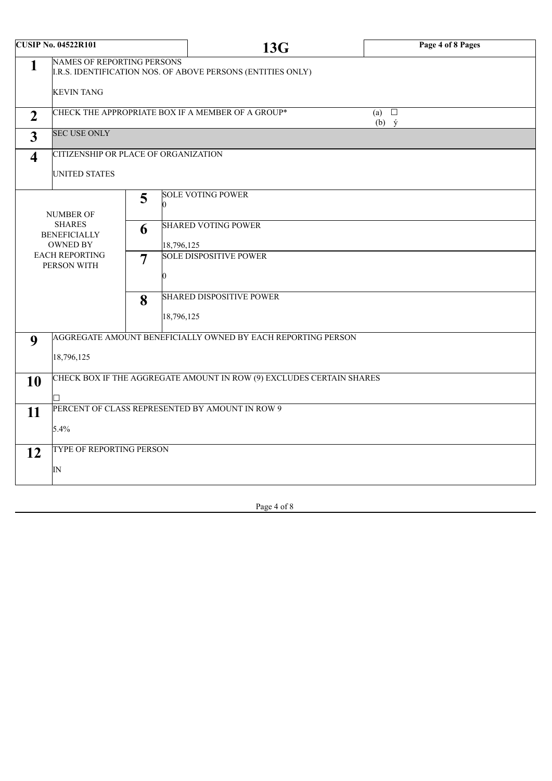| <b>CUSIP No. 04522R101</b>                             |                                                                                                  |                 | 13G                                               | Page 4 of 8 Pages                |  |
|--------------------------------------------------------|--------------------------------------------------------------------------------------------------|-----------------|---------------------------------------------------|----------------------------------|--|
| 1                                                      | <b>NAMES OF REPORTING PERSONS</b><br>I.R.S. IDENTIFICATION NOS. OF ABOVE PERSONS (ENTITIES ONLY) |                 |                                                   |                                  |  |
|                                                        | <b>KEVIN TANG</b>                                                                                |                 |                                                   |                                  |  |
| $\overline{2}$                                         |                                                                                                  |                 | CHECK THE APPROPRIATE BOX IF A MEMBER OF A GROUP* | (a) $\square$<br>$(b)$ $\dot{y}$ |  |
| 3                                                      | <b>SEC USE ONLY</b>                                                                              |                 |                                                   |                                  |  |
| $\overline{\mathbf{4}}$                                | CITIZENSHIP OR PLACE OF ORGANIZATION<br><b>UNITED STATES</b>                                     |                 |                                                   |                                  |  |
| 5<br>NUMBER OF                                         |                                                                                                  |                 | <b>SOLE VOTING POWER</b>                          |                                  |  |
|                                                        | <b>SHARES</b><br>6<br><b>BENEFICIALLY</b><br><b>OWNED BY</b><br>18,796,125                       |                 | <b>SHARED VOTING POWER</b>                        |                                  |  |
| <b>EACH REPORTING</b><br>$\overline{7}$<br>PERSON WITH |                                                                                                  |                 | <b>SOLE DISPOSITIVE POWER</b>                     |                                  |  |
|                                                        |                                                                                                  | 8<br>18,796,125 | <b>SHARED DISPOSITIVE POWER</b>                   |                                  |  |
| 9                                                      | AGGREGATE AMOUNT BENEFICIALLY OWNED BY EACH REPORTING PERSON<br>18,796,125                       |                 |                                                   |                                  |  |
| 10                                                     | CHECK BOX IF THE AGGREGATE AMOUNT IN ROW (9) EXCLUDES CERTAIN SHARES                             |                 |                                                   |                                  |  |
| 11                                                     | PERCENT OF CLASS REPRESENTED BY AMOUNT IN ROW 9<br>5.4%                                          |                 |                                                   |                                  |  |
| 12                                                     | <b>TYPE OF REPORTING PERSON</b><br>$\overline{\mathbb{N}}$                                       |                 |                                                   |                                  |  |

| Page 4 of 8 |
|-------------|
|-------------|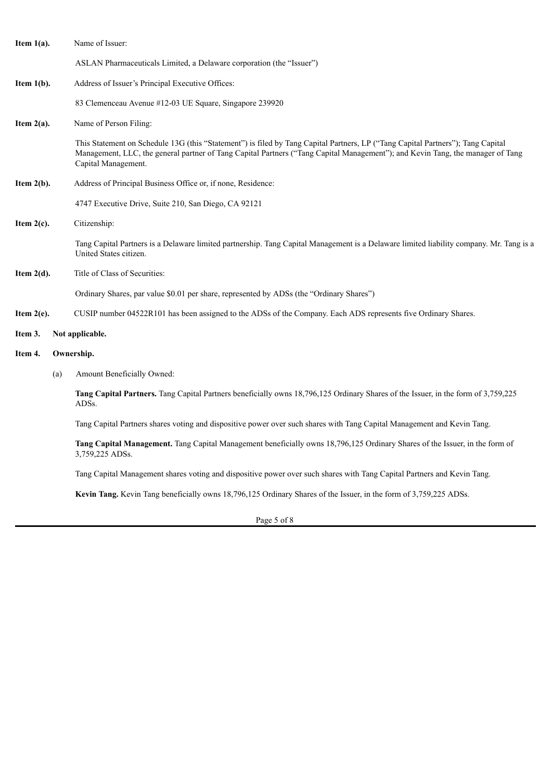| Item $1(a)$ . |     | Name of Issuer:                                                                                                                                                                                                                                                                          |  |  |  |  |
|---------------|-----|------------------------------------------------------------------------------------------------------------------------------------------------------------------------------------------------------------------------------------------------------------------------------------------|--|--|--|--|
|               |     | ASLAN Pharmaceuticals Limited, a Delaware corporation (the "Issuer")                                                                                                                                                                                                                     |  |  |  |  |
| Item $1(b)$ . |     | Address of Issuer's Principal Executive Offices:                                                                                                                                                                                                                                         |  |  |  |  |
|               |     | 83 Clemenceau Avenue #12-03 UE Square, Singapore 239920                                                                                                                                                                                                                                  |  |  |  |  |
| Item $2(a)$ . |     | Name of Person Filing:                                                                                                                                                                                                                                                                   |  |  |  |  |
|               |     | This Statement on Schedule 13G (this "Statement") is filed by Tang Capital Partners, LP ("Tang Capital Partners"); Tang Capital<br>Management, LLC, the general partner of Tang Capital Partners ("Tang Capital Management"); and Kevin Tang, the manager of Tang<br>Capital Management. |  |  |  |  |
| Item $2(b)$ . |     | Address of Principal Business Office or, if none, Residence:                                                                                                                                                                                                                             |  |  |  |  |
|               |     | 4747 Executive Drive, Suite 210, San Diego, CA 92121                                                                                                                                                                                                                                     |  |  |  |  |
| Item $2(c)$ . |     | Citizenship:                                                                                                                                                                                                                                                                             |  |  |  |  |
|               |     | Tang Capital Partners is a Delaware limited partnership. Tang Capital Management is a Delaware limited liability company. Mr. Tang is a<br>United States citizen.                                                                                                                        |  |  |  |  |
| Item $2(d)$ . |     | Title of Class of Securities:                                                                                                                                                                                                                                                            |  |  |  |  |
|               |     | Ordinary Shares, par value \$0.01 per share, represented by ADSs (the "Ordinary Shares")                                                                                                                                                                                                 |  |  |  |  |
| Item $2(e)$ . |     | CUSIP number 04522R101 has been assigned to the ADSs of the Company. Each ADS represents five Ordinary Shares.                                                                                                                                                                           |  |  |  |  |
| Item 3.       |     | Not applicable.                                                                                                                                                                                                                                                                          |  |  |  |  |
| Item 4.       |     | Ownership.                                                                                                                                                                                                                                                                               |  |  |  |  |
|               | (a) | Amount Beneficially Owned:                                                                                                                                                                                                                                                               |  |  |  |  |
|               |     | Tang Capital Partners. Tang Capital Partners beneficially owns 18,796,125 Ordinary Shares of the Issuer, in the form of 3,759,225<br>ADSs.                                                                                                                                               |  |  |  |  |
|               |     | Tang Capital Partners shares voting and dispositive power over such shares with Tang Capital Management and Kevin Tang.                                                                                                                                                                  |  |  |  |  |
|               |     | Tang Capital Management. Tang Capital Management beneficially owns 18,796,125 Ordinary Shares of the Issuer, in the form of<br>3,759,225 ADSs.                                                                                                                                           |  |  |  |  |
|               |     | Tang Capital Management shares voting and dispositive power over such shares with Tang Capital Partners and Kevin Tang.                                                                                                                                                                  |  |  |  |  |

**Kevin Tang.** Kevin Tang beneficially owns 18,796,125 Ordinary Shares of the Issuer, in the form of 3,759,225 ADSs.

Page 5 of 8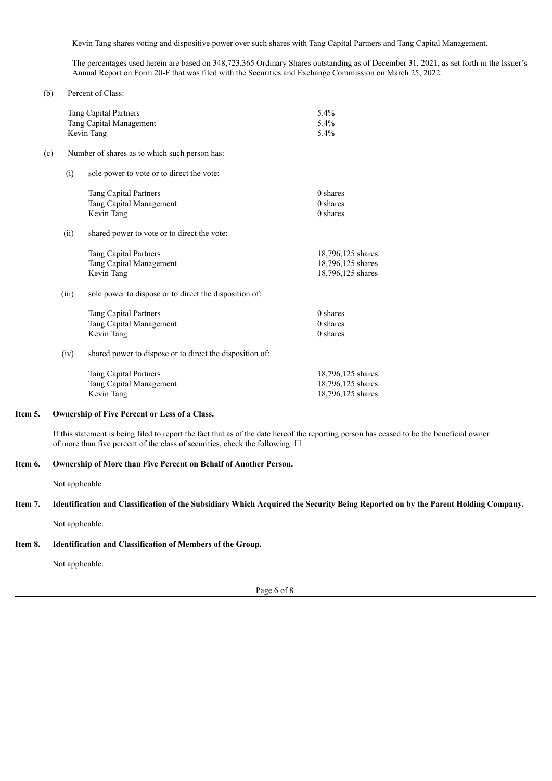Kevin Tang shares voting and dispositive power over such shares with Tang Capital Partners and Tang Capital Management.

The percentages used herein are based on 348,723,365 Ordinary Shares outstanding as of December 31, 2021, as set forth in the Issuer's Annual Report on Form 20-F that was filed with the Securities and Exchange Commission on March 25, 2022.

|     |                                                                 | <b>Tang Capital Partners</b><br>Tang Capital Management<br>Kevin Tang | 5.4%<br>5.4%<br>5.4%                                        |  |
|-----|-----------------------------------------------------------------|-----------------------------------------------------------------------|-------------------------------------------------------------|--|
| (c) |                                                                 | Number of shares as to which such person has:                         |                                                             |  |
|     | (i)                                                             | sole power to vote or to direct the vote:                             |                                                             |  |
|     |                                                                 | <b>Tang Capital Partners</b><br>Tang Capital Management<br>Kevin Tang | $0$ shares<br>$0$ shares<br>0 shares                        |  |
|     | (ii)                                                            | shared power to vote or to direct the vote:                           |                                                             |  |
|     |                                                                 | Tang Capital Partners<br>Tang Capital Management<br>Kevin Tang        | 18,796,125 shares<br>18,796,125 shares<br>18,796,125 shares |  |
|     | (iii)<br>sole power to dispose or to direct the disposition of: |                                                                       |                                                             |  |
|     |                                                                 | <b>Tang Capital Partners</b><br>Tang Capital Management<br>Kevin Tang | $0$ shares<br>$0$ shares<br>0 shares                        |  |
|     | (iv)                                                            | shared power to dispose or to direct the disposition of:              |                                                             |  |
|     |                                                                 | <b>Tang Capital Partners</b><br>Tang Capital Management<br>Kevin Tang | 18,796,125 shares<br>18,796,125 shares<br>18,796,125 shares |  |

#### **Item 5. Ownership of Five Percent or Less of a Class.**

If this statement is being filed to report the fact that as of the date hereof the reporting person has ceased to be the beneficial owner of more than five percent of the class of securities, check the following:  $\Box$ 

#### **Item 6. Ownership of More than Five Percent on Behalf of Another Person.**

Not applicable

(b) Percent of Class:

#### Item 7. Identification and Classification of the Subsidiary Which Acquired the Security Being Reported on by the Parent Holding Company.

Not applicable.

#### **Item 8. Identification and Classification of Members of the Group.**

Not applicable.

Page 6 of 8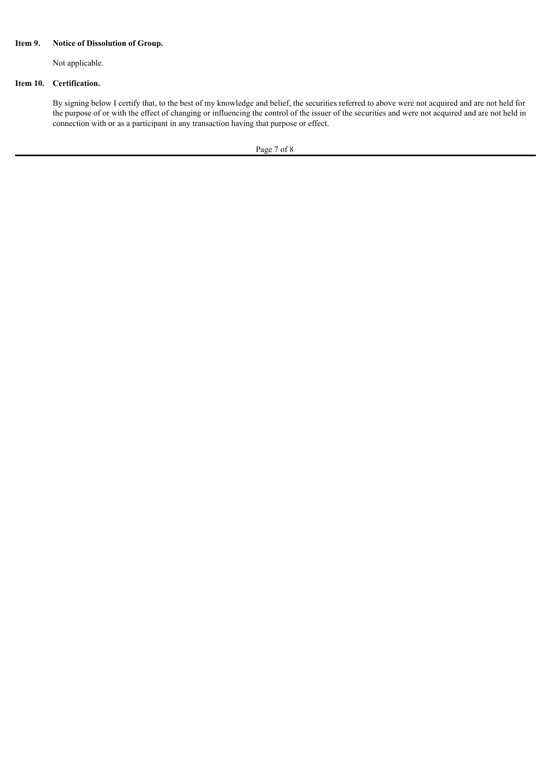#### **Item 9. Notice of Dissolution of Group.**

Not applicable.

#### **Item 10. Certification.**

By signing below I certify that, to the best of my knowledge and belief, the securities referred to above were not acquired and are not held for the purpose of or with the effect of changing or influencing the control of the issuer of the securities and were not acquired and are not held in connection with or as a participant in any transaction having that purpose or effect.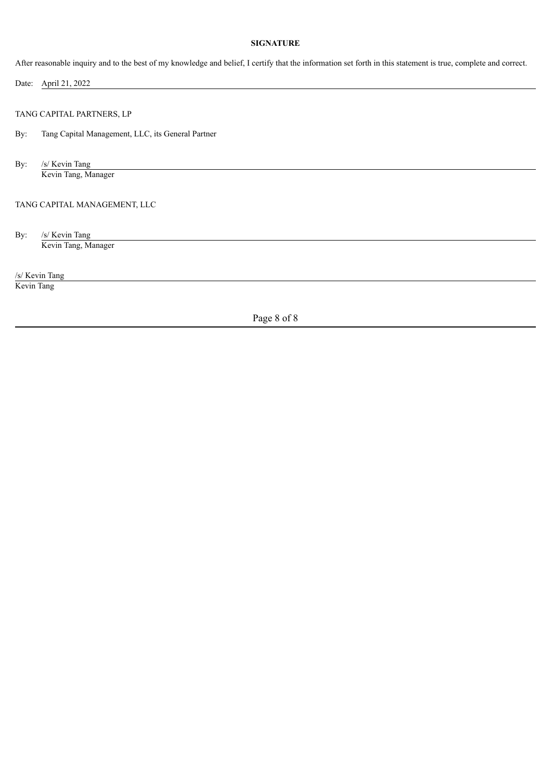#### **SIGNATURE**

After reasonable inquiry and to the best of my knowledge and belief, I certify that the information set forth in this statement is true, complete and correct.

Date: April 21, 2022 TANG CAPITAL PARTNERS, LP By: Tang Capital Management, LLC, its General Partner By: /s/ Kevin Tang Kevin Tang, Manager TANG CAPITAL MANAGEMENT, LLC By: /s/ Kevin Tang Kevin Tang, Manager /s/ Kevin Tang

Kevin Tang

Page 8 of 8